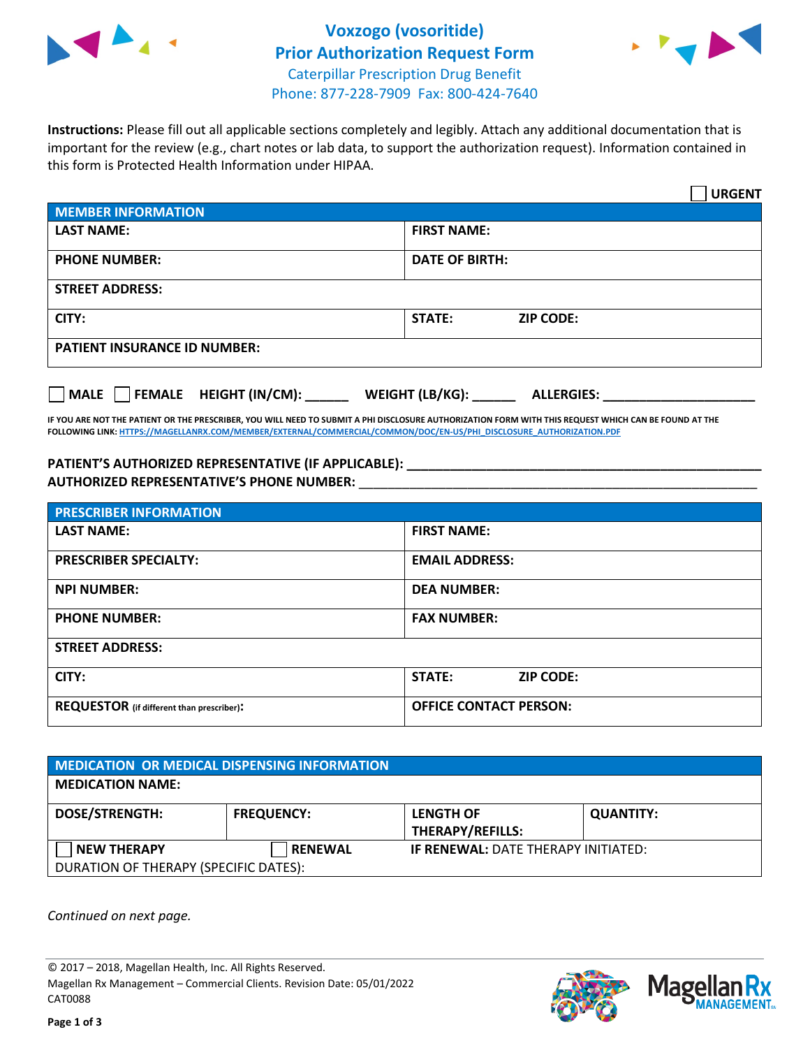



**Instructions:** Please fill out all applicable sections completely and legibly. Attach any additional documentation that is important for the review (e.g., chart notes or lab data, to support the authorization request). Information contained in this form is Protected Health Information under HIPAA.

|                                     | <b>URGENT</b>                        |  |  |  |
|-------------------------------------|--------------------------------------|--|--|--|
| <b>MEMBER INFORMATION</b>           |                                      |  |  |  |
| <b>LAST NAME:</b>                   | <b>FIRST NAME:</b>                   |  |  |  |
| <b>PHONE NUMBER:</b>                | <b>DATE OF BIRTH:</b>                |  |  |  |
| <b>STREET ADDRESS:</b>              |                                      |  |  |  |
| CITY:                               | <b>STATE:</b><br><b>ZIP CODE:</b>    |  |  |  |
| <b>PATIENT INSURANCE ID NUMBER:</b> |                                      |  |  |  |
| FEMALE HEIGHT (IN/CM):<br>  MALE    | WEIGHT (LB/KG):<br><b>ALLERGIES:</b> |  |  |  |

**IF YOU ARE NOT THE PATIENT OR THE PRESCRIBER, YOU WILL NEED TO SUBMIT A PHI DISCLOSURE AUTHORIZATION FORM WITH THIS REQUEST WHICH CAN BE FOUND AT THE FOLLOWING LINK[: HTTPS://MAGELLANRX.COM/MEMBER/EXTERNAL/COMMERCIAL/COMMON/DOC/EN-US/PHI\\_DISCLOSURE\\_AUTHORIZATION.PDF](https://magellanrx.com/member/external/commercial/common/doc/en-us/PHI_Disclosure_Authorization.pdf)**

**PATIENT'S AUTHORIZED REPRESENTATIVE (IF APPLICABLE): \_\_\_\_\_\_\_\_\_\_\_\_\_\_\_\_\_\_\_\_\_\_\_\_\_\_\_\_\_\_\_\_\_\_\_\_\_\_\_\_\_\_\_\_\_\_\_\_\_ AUTHORIZED REPRESENTATIVE'S PHONE NUMBER:** \_\_\_\_\_\_\_\_\_\_\_\_\_\_\_\_\_\_\_\_\_\_\_\_\_\_\_\_\_\_\_\_\_\_\_\_\_\_\_\_\_\_\_\_\_\_\_\_\_\_\_\_\_\_\_

| <b>PRESCRIBER INFORMATION</b>             |                               |  |  |  |
|-------------------------------------------|-------------------------------|--|--|--|
| <b>LAST NAME:</b>                         | <b>FIRST NAME:</b>            |  |  |  |
| <b>PRESCRIBER SPECIALTY:</b>              | <b>EMAIL ADDRESS:</b>         |  |  |  |
| <b>NPI NUMBER:</b>                        | <b>DEA NUMBER:</b>            |  |  |  |
| <b>PHONE NUMBER:</b>                      | <b>FAX NUMBER:</b>            |  |  |  |
| <b>STREET ADDRESS:</b>                    |                               |  |  |  |
| CITY:                                     | STATE:<br><b>ZIP CODE:</b>    |  |  |  |
| REQUESTOR (if different than prescriber): | <b>OFFICE CONTACT PERSON:</b> |  |  |  |

| <b>MEDICATION OR MEDICAL DISPENSING INFORMATION</b> |                   |                                             |                  |  |  |
|-----------------------------------------------------|-------------------|---------------------------------------------|------------------|--|--|
| <b>MEDICATION NAME:</b>                             |                   |                                             |                  |  |  |
| <b>DOSE/STRENGTH:</b>                               | <b>FREQUENCY:</b> | <b>LENGTH OF</b><br><b>THERAPY/REFILLS:</b> | <b>QUANTITY:</b> |  |  |
| <b>NEW THERAPY</b>                                  | <b>RENEWAL</b>    | <b>IF RENEWAL: DATE THERAPY INITIATED:</b>  |                  |  |  |
| DURATION OF THERAPY (SPECIFIC DATES):               |                   |                                             |                  |  |  |

*Continued on next page.*

© 2017 – 2018, Magellan Health, Inc. All Rights Reserved. Magellan Rx Management – Commercial Clients. Revision Date: 05/01/2022 CAT0088



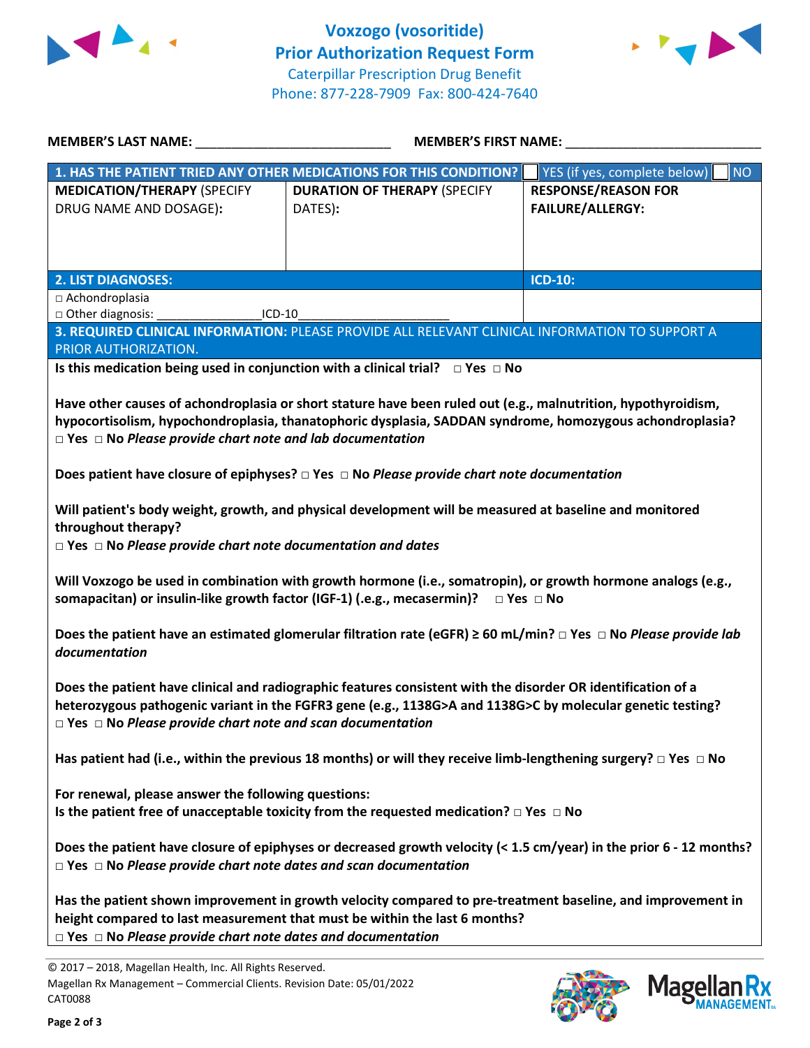



| <b>MEMBER'S LAST NAME:</b>                                                                                                | <b>MEMBER'S FIRST NAME:</b>                                                                                                    |                                    |  |  |
|---------------------------------------------------------------------------------------------------------------------------|--------------------------------------------------------------------------------------------------------------------------------|------------------------------------|--|--|
| 1. HAS THE PATIENT TRIED ANY OTHER MEDICATIONS FOR THIS CONDITION?                                                        |                                                                                                                                | NO<br>YES (if yes, complete below) |  |  |
| <b>MEDICATION/THERAPY (SPECIFY</b>                                                                                        | <b>DURATION OF THERAPY (SPECIFY</b>                                                                                            | <b>RESPONSE/REASON FOR</b>         |  |  |
| DRUG NAME AND DOSAGE):                                                                                                    | DATES):                                                                                                                        | <b>FAILURE/ALLERGY:</b>            |  |  |
|                                                                                                                           |                                                                                                                                |                                    |  |  |
|                                                                                                                           |                                                                                                                                |                                    |  |  |
|                                                                                                                           |                                                                                                                                |                                    |  |  |
| <b>2. LIST DIAGNOSES:</b>                                                                                                 |                                                                                                                                | <b>ICD-10:</b>                     |  |  |
| $\Box$ Achondroplasia                                                                                                     |                                                                                                                                |                                    |  |  |
| □ Other diagnosis:<br>ICD-10                                                                                              |                                                                                                                                |                                    |  |  |
|                                                                                                                           | 3. REQUIRED CLINICAL INFORMATION: PLEASE PROVIDE ALL RELEVANT CLINICAL INFORMATION TO SUPPORT A                                |                                    |  |  |
| PRIOR AUTHORIZATION.                                                                                                      |                                                                                                                                |                                    |  |  |
|                                                                                                                           | Is this medication being used in conjunction with a clinical trial? $\Box$ Yes $\Box$ No                                       |                                    |  |  |
|                                                                                                                           |                                                                                                                                |                                    |  |  |
|                                                                                                                           | Have other causes of achondroplasia or short stature have been ruled out (e.g., malnutrition, hypothyroidism,                  |                                    |  |  |
|                                                                                                                           | hypocortisolism, hypochondroplasia, thanatophoric dysplasia, SADDAN syndrome, homozygous achondroplasia?                       |                                    |  |  |
| $\Box$ Yes $\Box$ No Please provide chart note and lab documentation                                                      |                                                                                                                                |                                    |  |  |
|                                                                                                                           |                                                                                                                                |                                    |  |  |
|                                                                                                                           | Does patient have closure of epiphyses? $\Box$ Yes $\Box$ No Please provide chart note documentation                           |                                    |  |  |
|                                                                                                                           |                                                                                                                                |                                    |  |  |
|                                                                                                                           | Will patient's body weight, growth, and physical development will be measured at baseline and monitored                        |                                    |  |  |
| throughout therapy?                                                                                                       |                                                                                                                                |                                    |  |  |
| $\Box$ Yes $\Box$ No Please provide chart note documentation and dates                                                    |                                                                                                                                |                                    |  |  |
|                                                                                                                           |                                                                                                                                |                                    |  |  |
|                                                                                                                           | Will Voxzogo be used in combination with growth hormone (i.e., somatropin), or growth hormone analogs (e.g.,                   |                                    |  |  |
|                                                                                                                           | somapacitan) or insulin-like growth factor (IGF-1) (.e.g., mecasermin)? $\Box$ Yes $\Box$ No                                   |                                    |  |  |
|                                                                                                                           |                                                                                                                                |                                    |  |  |
|                                                                                                                           | Does the patient have an estimated glomerular filtration rate (eGFR) $\geq$ 60 mL/min? $\Box$ Yes $\Box$ No Please provide lab |                                    |  |  |
| documentation                                                                                                             |                                                                                                                                |                                    |  |  |
|                                                                                                                           |                                                                                                                                |                                    |  |  |
|                                                                                                                           |                                                                                                                                |                                    |  |  |
| Does the patient have clinical and radiographic features consistent with the disorder OR identification of a              |                                                                                                                                |                                    |  |  |
| heterozygous pathogenic variant in the FGFR3 gene (e.g., 1138G>A and 1138G>C by molecular genetic testing?                |                                                                                                                                |                                    |  |  |
| $\Box$ Yes $\Box$ No Please provide chart note and scan documentation                                                     |                                                                                                                                |                                    |  |  |
|                                                                                                                           |                                                                                                                                |                                    |  |  |
| Has patient had (i.e., within the previous 18 months) or will they receive limb-lengthening surgery? $\Box$ Yes $\Box$ No |                                                                                                                                |                                    |  |  |
|                                                                                                                           |                                                                                                                                |                                    |  |  |
| For renewal, please answer the following questions:                                                                       |                                                                                                                                |                                    |  |  |
| Is the patient free of unacceptable toxicity from the requested medication? $\Box$ Yes $\Box$ No                          |                                                                                                                                |                                    |  |  |
|                                                                                                                           |                                                                                                                                |                                    |  |  |
| Does the patient have closure of epiphyses or decreased growth velocity (< 1.5 cm/year) in the prior 6 - 12 months?       |                                                                                                                                |                                    |  |  |
| $\Box$ Yes $\Box$ No Please provide chart note dates and scan documentation                                               |                                                                                                                                |                                    |  |  |
|                                                                                                                           |                                                                                                                                |                                    |  |  |
| Has the patient shown improvement in growth velocity compared to pre-treatment baseline, and improvement in               |                                                                                                                                |                                    |  |  |
|                                                                                                                           | height compared to last measurement that must be within the last 6 months?                                                     |                                    |  |  |
| $\Box$ Yes $\Box$ No Please provide chart note dates and documentation                                                    |                                                                                                                                |                                    |  |  |
| @ 2017 - 2018, Marollan Health, Inc. All Rights Reserved                                                                  |                                                                                                                                |                                    |  |  |

© 2017 – 2018, Magellan Health, Inc. All Rights Reserved. Magellan Rx Management – Commercial Clients. Revision Date: 05/01/2022 CAT0088



Mage

**Rx ANAGEMENT**<sub>SM</sub>